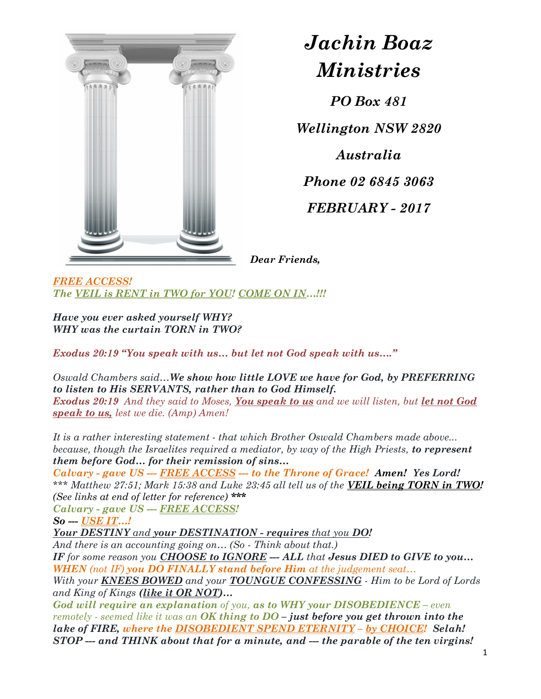

## Jachin Boaz Ministries

PO Box 481

Wellington NSW 2820 Australia Phone 02 6845 3063 FEBRUARY - 2017

Dear Friends,

FREE ACCESS! The VEIL is RENT in TWO for YOU! COME ON IN...!!!

Have you ever asked yourself WHY? WHY was the curtain TORN in TWO?

Exodus 20:19 "You speak with us… but let not God speak with us…."

Oswald Chambers said…We show how little LOVE we have for God, by PREFERRING to listen to His SERVANTS, rather than to God Himself. Exodus 20:19 And they said to Moses, You speak to us and we will listen, but let not God speak to us, lest we die. (Amp) Amen!

It is a rather interesting statement - that which Brother Oswald Chambers made above... because, though the Israelites required a mediator, by way of the High Priests, to represent them before God… for their remission of sins…

Calvary - gave US --- FREE ACCESS --- to the Throne of Grace! Amen! Yes Lord! \*\*\* Matthew 27:51; Mark 15:38 and Luke 23:45 all tell us of the **VEIL being TORN in TWO!** (See links at end of letter for reference) \*\*\*

Calvary - gave US --- FREE ACCESS!

So --- USE IT...!

Your DESTINY and your DESTINATION - requires that you DO!

And there is an accounting going on... (So - Think about that.)

IF for some reason you **CHOOSE to IGNORE** --- ALL that **Jesus DIED** to GIVE to you... WHEN (not IF) you DO FINALLY stand before Him at the judgement seat...

With your **KNEES BOWED** and your **TOUNGUE CONFESSING** - Him to be Lord of Lords and King of Kings (like it OR NOT)...

God will require an explanation of you, as to WHY your DISOBEDIENCE – even remotely - seemed like it was an OK thing to  $DO$  – just before you get thrown into the lake of FIRE, where the DISOBEDIENT SPEND ETERNITY - by CHOICE! Selah! STOP --- and THINK about that for a minute, and --- the parable of the ten virgins!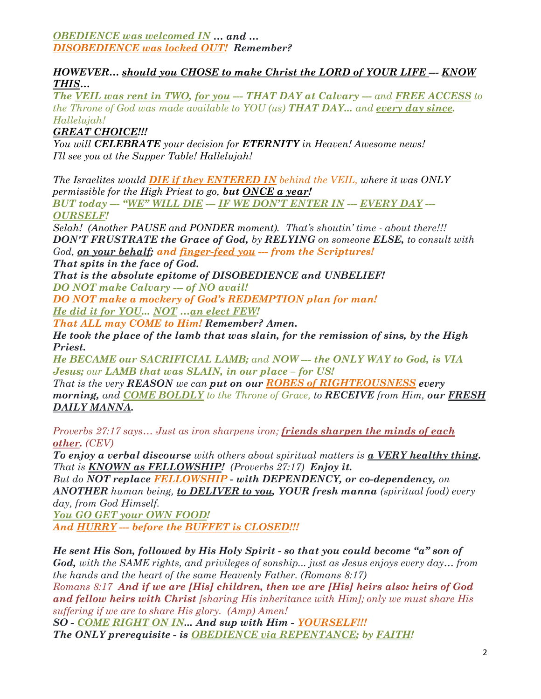OBEDIENCE was welcomed IN … and … DISOBEDIENCE was locked OUT! Remember?

## HOWEVER… should you CHOSE to make Christ the LORD of YOUR LIFE --- KNOW THIS…

The VEIL was rent in TWO, for you --- THAT DAY at Calvary --- and FREE ACCESS to the Throne of God was made available to YOU (us) **THAT DAY...** and <u>every day since</u>.<br>Hallelujah!

**GREAT CHOICE!!!** 

You will CELEBRATE your decision for ETERNITY in Heaven! Awesome news! I'll see you at the Supper Table! Hallelujah!

The Israelites would **DIE** if they ENTERED IN behind the VEIL, where it was ONLY permissible for the High Priest to go, but  $\overline{ONCE}$  a year! BUT today --- "WE" WILL DIE --- IF WE DON'T ENTER IN --- EVERY DAY ---OURSELF!

Selah! (Another PAUSE and PONDER moment). That's shoutin' time - about there!!! **DON'T FRUSTRATE the Grace of God, by RELYING** on someone **ELSE**, to consult with God, on your behalf; and finger-feed you --- from the Scriptures!

That spits in the face of God.

That is the absolute epitome of DISOBEDIENCE and UNBELIEF! DO NOT make Calvary --- of NO avail!

DO NOT make a mockery of God's REDEMPTION plan for man!

He did it for YOU... NOT …an elect FEW!

That ALL may COME to Him! Remember? Amen.

He took the place of the lamb that was slain, for the remission of sins, by the High Priest.

He BECAME our SACRIFICIAL LAMB; and NOW --- the ONLY WAY to God, is VIA Jesus; our LAMB that was SLAIN, in our place – for US!

That is the very REASON we can put on our ROBES of RIGHTEOUSNESS every morning, and COME BOLDLY to the Throne of Grace, to RECEIVE from Him, our FRESH DAILY MANNA.

Proverbs 27:17 says... Just as iron sharpens iron; friends sharpen the minds of each other. (CEV)

To enjoy a verbal discourse with others about spiritual matters is  $\alpha$  VERY healthy thing. That is **KNOWN** as **FELLOWSHIP!** (Proverbs 27:17) **Enjoy it.** 

But do NOT replace FELLOWSHIP - with DEPENDENCY, or co-dependency, on ANOTHER human being, to DELIVER to you, YOUR fresh manna (spiritual food) every day, from God Himself.

You GO GET your OWN FOOD! And HURRY --- before the BUFFET is CLOSED!!!

He sent His Son, followed by His Holy Spirit - so that you could become "a" son of God, with the SAME rights, and privileges of sonship... just as Jesus enjoys every day... from the hands and the heart of the same Heavenly Father. (Romans 8:17) Romans 8:17 And if we are [His] children, then we are [His] heirs also: heirs of God and fellow heirs with Christ [sharing His inheritance with Him]; only we must share His suffering if we are to share His glory. (Amp) Amen! SO - COME RIGHT ON IN... And sup with Him - YOURSELF!!!

The ONLY prerequisite - is **OBEDIENCE** via REPENTANCE; by FAITH!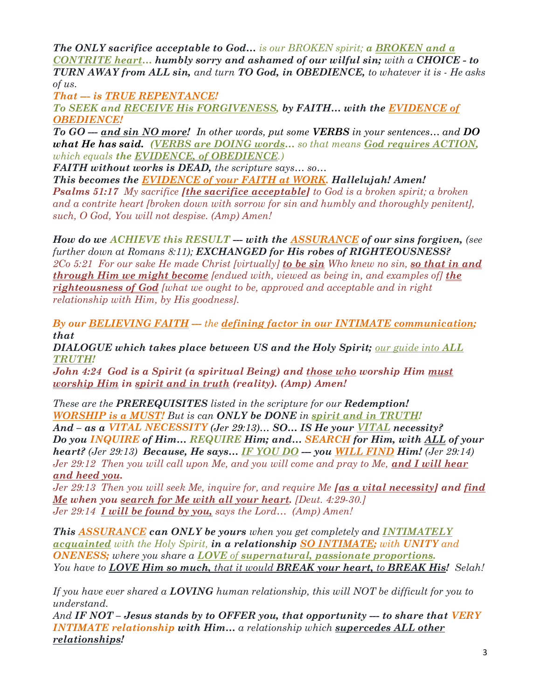The ONLY sacrifice acceptable to God... is our BROKEN spirit; a BROKEN and a CONTRITE heart… humbly sorry and ashamed of our wilful sin; with a CHOICE - to TURN AWAY from ALL sin, and turn TO God, in OBEDIENCE, to whatever it is - He asks of us.

That --- is TRUE REPENTANCE!

To SEEK and RECEIVE His FORGIVENESS, by FAITH… with the EVIDENCE of OBEDIENCE!

To GO --- and sin NO more! In other words, put some VERBS in your sentences... and  $DO$ what He has said. (VERBS are DOING words... so that means God requires ACTION, which equals the **EVIDENCE**, of **OBEDIENCE**.)

FAITH without works is DEAD, the scripture says... so...

This becomes the EVIDENCE of your FAITH at WORK. Hallelujah! Amen!

**Psalms 51:17** My sacrifice **[the sacrifice acceptable]** to God is a broken spirit; a broken and a contrite heart [broken down with sorrow for sin and humbly and thoroughly penitent], such, O God, You will not despise. (Amp) Amen!

How do we ACHIEVE this  $RESULT -$ - with the ASSURANCE of our sins forgiven, (see further down at Romans 8:11); EXCHANGED for His robes of RIGHTEOUSNESS?

2Co 5:21 For our sake He made Christ [virtually] to be  $sin$  Who knew no sin, so that in and **through Him we might become** [endued with, viewed as being in, and examples of] the righteousness of God [what we ought to be, approved and acceptable and in right relationship with Him, by His goodness].

By our **BELIEVING FAITH** --- the defining factor in our **INTIMATE** communication; that

**DIALOGUE** which takes place between US and the Holy Spirit; our guide into  $ALL$ TRUTH!

John 4:24 God is a Spirit (a spiritual Being) and those who worship Him must worship Him in spirit and in truth (reality). (Amp) Amen!

These are the **PREREQUISITES** listed in the scripture for our **Redemption!** WORSHIP is a MUST! But is can ONLY be DONE in spirit and in TRUTH! And – as a VITAL NECESSITY (Jer 29:13)... SO... IS He your VITAL necessity? Do you INQUIRE of Him… REQUIRE Him; and… SEARCH for Him, with ALL of your heart? (Jer 29:13) Because, He says... IF YOU DO -- you WILL FIND Him! (Jer 29:14) Jer 29:12 Then you will call upon Me, and you will come and pray to Me, and I will hear and heed you.

Jer 29:13 Then you will seek Me, inquire for, and require Me  $[as a vital necessity]$  and find Me when you search for Me with all your heart. [Deut. 4:29-30.] Jer 29:14 **I will be found by you,** says the Lord...  $(Amp)$  Amen!

This **ASSURANCE** can ONLY be yours when you get completely and INTIMATELY acquainted with the Holy Spirit, in a relationship SO INTIMATE; with UNITY and ONENESS; where you share a LOVE of supernatural, passionate proportions. You have to **LOVE Him so much,** that it would **BREAK your heart, to BREAK His!** Selah!

If you have ever shared a **LOVING** human relationship, this will NOT be difficult for you to understand.

And IF NOT – Jesus stands by to OFFER you, that opportunity --- to share that VERY INTIMATE relationship with Him… a relationship which supercedes ALL other relationships!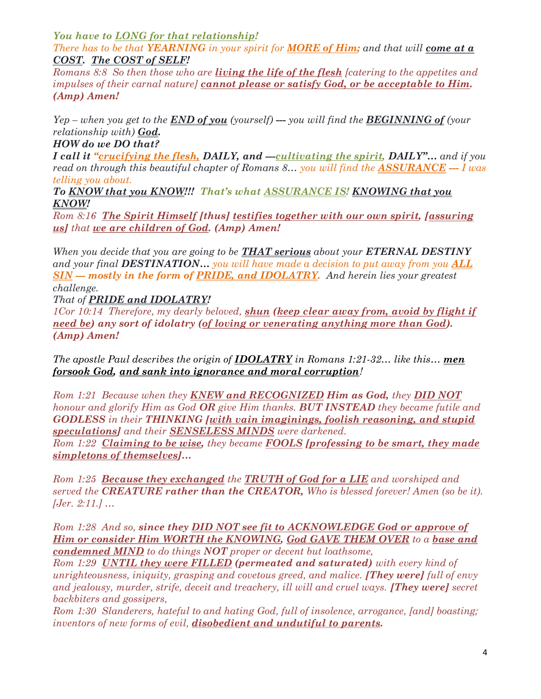You have to LONG for that relationship!

There has to be that YEARNING in your spirit for **MORE of Him;** and that will **come at a** COST. The COST of SELF!

Romans 8:8 So then those who are *living the life of the flesh* [catering to the appetites and impulses of their carnal nature] cannot please or satisfy God, or be acceptable to Him. (Amp) Amen!

 $Yep - when you get to the **END of you** (yourself) -- you will find the **BEGINNING of** (your$ relationship with) **God.** 

HOW do we DO that?

I call it "crucifying the flesh, DAILY, and --- cultivating the spirit, DAILY"... and if you read on through this beautiful chapter of Romans 8... you will find the **ASSURANCE** --- I was telling you about.

To KNOW that you KNOW!!! That's what ASSURANCE IS! KNOWING that you KNOW!

Rom 8:16 The Spirit Himself [thus] testifies together with our own spirit, [assuring us] that we are children of God. (Amp) Amen!

When you decide that you are going to be **THAT serious** about your **ETERNAL DESTINY** and your final **DESTINATION...** you will have made a decision to put away from you  $ALL$ **SIN** -- mostly in the form of **PRIDE**, and **IDOLATRY**. And herein lies your greatest challenge.

That of PRIDE and IDOLATRY!

 $1\text{Cor } 10:14$  Therefore, my dearly beloved, shun (keep clear away from, avoid by flight if need be) any sort of idolatry (of loving or venerating anything more than God). (Amp) Amen!

The apostle Paul describes the origin of **IDOLATRY** in Romans 1:21-32... like this... **men** forsook God, and sank into ignorance and moral corruption!

Rom 1:21 Because when they **KNEW and RECOGNIZED Him as God,** they **DID NOT** honour and glorify Him as God **OR** give Him thanks. **BUT INSTEAD** they became futile and GODLESS in their THINKING [with vain imaginings, foolish reasoning, and stupid speculations] and their **SENSELESS MINDS** were darkened. Rom 1:22 Claiming to be wise, they became **FOOLS** [professing to be smart, they made

simpletons of themselves]...

Rom 1:25 **Because they exchanged** the **TRUTH** of God for a LIE and worshiped and served the **CREATURE** rather than the **CREATOR**, Who is blessed forever! Amen (so be it). [Jer. 2:11.] …

Rom 1:28 And so, since they DID NOT see fit to ACKNOWLEDGE God or approve of Him or consider Him WORTH the KNOWING, God GAVE THEM OVER to a base and condemned MIND to do things NOT proper or decent but loathsome,

Rom 1:29 **UNTIL they were FILLED** (permeated and saturated) with every kind of unrighteousness, iniquity, grasping and covetous greed, and malice. **[They were]** full of envy and jealousy, murder, strife, deceit and treachery, ill will and cruel ways. **[They were]** secret backbiters and gossipers,

Rom 1:30 Slanderers, hateful to and hating God, full of insolence, arrogance, [and] boasting; inventors of new forms of evil, **disobedient and undutiful to parents.**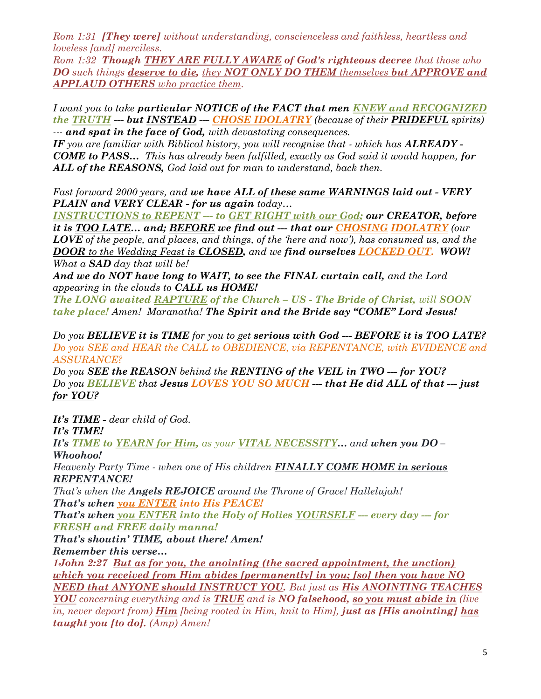Rom 1:31 **[They were]** without understanding, conscienceless and faithless, heartless and loveless [and] merciless.

Rom 1:32 Though THEY ARE FULLY AWARE of God's righteous decree that those who DO such things deserve to die, they NOT ONLY DO THEM themselves but APPROVE and APPLAUD OTHERS who practice them.

I want you to take **particular NOTICE of the FACT that men KNEW and RECOGNIZED** the TRUTH --- but INSTEAD --- CHOSE IDOLATRY (because of their PRIDEFUL spirits) --- and spat in the face of God, with devastating consequences.

IF you are familiar with Biblical history, you will recognise that - which has  $\mathbf{ALREADY}$  -COME to PASS… This has already been fulfilled, exactly as God said it would happen, for ALL of the REASONS, God laid out for man to understand, back then.

Fast forward 2000 years, and we have ALL of these same WARNINGS laid out - VERY PLAIN and VERY CLEAR - for us again today...

INSTRUCTIONS to REPENT --- to GET RIGHT with our God; our CREATOR, before it is TOO LATE... and; BEFORE we find out --- that our CHOSING IDOLATRY (our **LOVE** of the people, and places, and things, of the 'here and now'), has consumed us, and the **DOOR** to the Wedding Feast is **CLOSED**, and we find ourselves **LOCKED OUT.** WOW! What a  $SAD$  day that will be!

And we do NOT have long to WAIT, to see the FINAL curtain call, and the Lord appearing in the clouds to CALL us HOME!

The LONG awaited RAPTURE of the Church – US - The Bride of Christ, will SOON take place! Amen! Maranatha! The Spirit and the Bride say "COME" Lord Jesus!

Do you BELIEVE it is TIME for you to get serious with  $God - BEFORE$  it is  $TOO LATE$ ? Do you SEE and HEAR the CALL to OBEDIENCE, via REPENTANCE, with EVIDENCE and ASSURANCE?

Do you SEE the REASON behind the RENTING of the VEIL in TWO --- for YOU? Do you BELIEVE that Jesus LOVES YOU SO MUCH --- that He did ALL of that --- just for YOU?

It's TIME - dear child of God.

## It's TIME!

It's TIME to YEARN for Him, as your VITAL NECESSITY… and when you DO – Whoohoo!

Heavenly Party Time - when one of His children FINALLY COME HOME in serious REPENTANCE!

That's when the **Angels REJOICE** around the Throne of Grace! Hallelujah! That's when you ENTER into His PEACE!

That's when you ENTER into the Holy of Holies YOURSELF --- every  $day -$  for FRESH and FREE daily manna!

That's shoutin' TIME, about there! Amen!

Remember this verse…

1John 2:27 <u>But as for you, the anointing (the sacred appointment, the unction)</u> which you received from Him abides [permanently] in you; [so] then you have NO NEED that ANYONE should INSTRUCT YOU. But just as His ANOINTING TEACHES

YOU concerning everything and is TRUE and is NO falsehood, so you must abide in (live in, never depart from)  $\underline{Him}$  [being rooted in Him, knit to Him], just as [His anointing] has  $taught you$  [to do]. (Amp) Amen!</u>